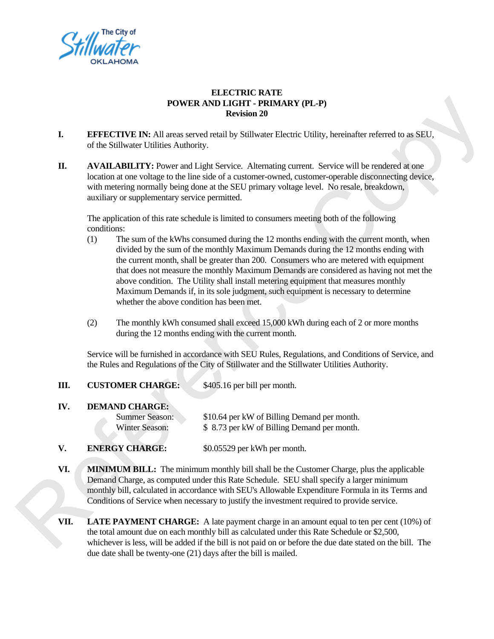

## **ELECTRIC RATE POWER AND LIGHT - PRIMARY (PL-P) Revision 20**

- **I.** EFFECTIVE IN: All areas served retail by Stillwater Electric Utility, hereinafter referred to as SEU, of the Stillwater Utilities Authority.
- **II. AVAILABILITY:** Power and Light Service. Alternating current. Service will be rendered at one location at one voltage to the line side of a customer-owned, customer-operable disconnecting device, with metering normally being done at the SEU primary voltage level. No resale, breakdown, auxiliary or supplementary service permitted. (PL-P)<br>Utility, hereinafter referred to as SEU,<br>ent. Service will be rendered at one<br>stomer-operable disconnecting device,<br>level. No resale, breakdown,<br>eeting both of the following<br>ending with the current month, when<br>s dur

The application of this rate schedule is limited to consumers meeting both of the following conditions:

- (1) The sum of the kWhs consumed during the 12 months ending with the current month, when divided by the sum of the monthly Maximum Demands during the 12 months ending with the current month, shall be greater than 200. Consumers who are metered with equipment that does not measure the monthly Maximum Demands are considered as having not met the above condition. The Utility shall install metering equipment that measures monthly Maximum Demands if, in its sole judgment, such equipment is necessary to determine whether the above condition has been met. France of the current month, shall be greater than 200. Consumers who are that does not measure the monthly Maximum Demands are considerably and above condition. The Utility shall install metering equipment that does not m
	- (2) The monthly kWh consumed shall exceed 15,000 kWh during each of 2 or more months during the 12 months ending with the current month.

Service will be furnished in accordance with SEU Rules, Regulations, and Conditions of Service, and the Rules and Regulations of the City of Stillwater and the Stillwater Utilities Authority.

**III.** CUSTOMER CHARGE: \$405.16 per bill per month.

## **IV. DEMAND CHARGE:** Summer Season: \$10.64 per kW of Billing Demand per month. Winter Season:  $$ 8.73$  per kW of Billing Demand per month.

- **V. ENERGY CHARGE:** \$0.05529 per kWh per month.
- **VI. MINIMUM BILL:** The minimum monthly bill shall be the Customer Charge, plus the applicable Demand Charge, as computed under this Rate Schedule. SEU shall specify a larger minimum monthly bill, calculated in accordance with SEU's Allowable Expenditure Formula in its Terms and Conditions of Service when necessary to justify the investment required to provide service.
- **VII. LATE PAYMENT CHARGE:** A late payment charge in an amount equal to ten per cent (10%) of the total amount due on each monthly bill as calculated under this Rate Schedule or \$2,500, whichever is less, will be added if the bill is not paid on or before the due date stated on the bill. The due date shall be twenty-one (21) days after the bill is mailed.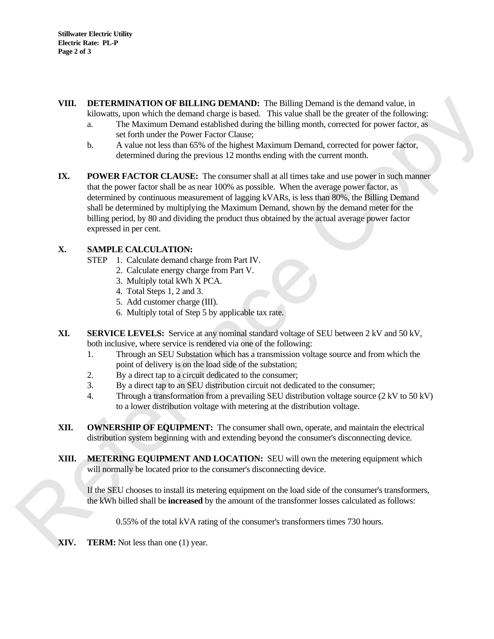- **VIII. DETERMINATION OF BILLING DEMAND:** The Billing Demand is the demand value, in kilowatts, upon which the demand charge is based. This value shall be the greater of the following:
	- a. The Maximum Demand established during the billing month, corrected for power factor, as set forth under the Power Factor Clause;
	- b. A value not less than 65% of the highest Maximum Demand, corrected for power factor, determined during the previous 12 months ending with the current month.
- **IX. POWER FACTOR CLAUSE:** The consumer shall at all times take and use power in such manner that the power factor shall be as near 100% as possible. When the average power factor, as determined by continuous measurement of lagging kVARs, is less than 80%, the Billing Demand shall be determined by multiplying the Maximum Demand, shown by the demand meter for the billing period, by 80 and dividing the product thus obtained by the actual average power factor expressed in per cent. Demand is the demand value, in<br>shall be the greater of the following:<br>month, corrected for power factor, as<br>emand, corrected for power factor,<br>the current month.<br>es take and use power in such manner<br>the average power facto

## **X. SAMPLE CALCULATION:**

- STEP 1. Calculate demand charge from Part IV.
	- 2. Calculate energy charge from Part V.
	- 3. Multiply total kWh X PCA.
	- 4. Total Steps 1, 2 and 3.
	- 5. Add customer charge (III).
	- 6. Multiply total of Step 5 by applicable tax rate.
- **XI. SERVICE LEVELS:** Service at any nominal standard voltage of SEU between 2 kV and 50 kV, both inclusive, where service is rendered via one of the following:
	- 1. Through an SEU Substation which has a transmission voltage source and from which the point of delivery is on the load side of the substation;
	- 2. By a direct tap to a circuit dedicated to the consumer;
	- 3. By a direct tap to an SEU distribution circuit not dedicated to the consumer;
	- 4. Through a transformation from a prevailing SEU distribution voltage source (2 kV to 50 kV) to a lower distribution voltage with metering at the distribution voltage.
- **XII. OWNERSHIP OF EQUIPMENT:** The consumer shall own, operate, and maintain the electrical distribution system beginning with and extending beyond the consumer's disconnecting device. **EXECUATE AND CONSUMPATE CONTINUATES (STEP 1.** Calculate demand charge from Part IV.<br>
2. Calculate demand charge from Part IV.<br>
3. Multiply total kWh X PCA.<br>
4. Total Steps 1, 2 and 3.<br>
5. Add customer charge (II).<br>
6. Mu
	- **XIII. METERING EQUIPMENT AND LOCATION:** SEU will own the metering equipment which will normally be located prior to the consumer's disconnecting device.

 If the SEU chooses to install its metering equipment on the load side of the consumer's transformers, the kWh billed shall be **increased** by the amount of the transformer losses calculated as follows:

0.55% of the total kVA rating of the consumer's transformers times 730 hours.

**XIV. TERM:** Not less than one (1) year.